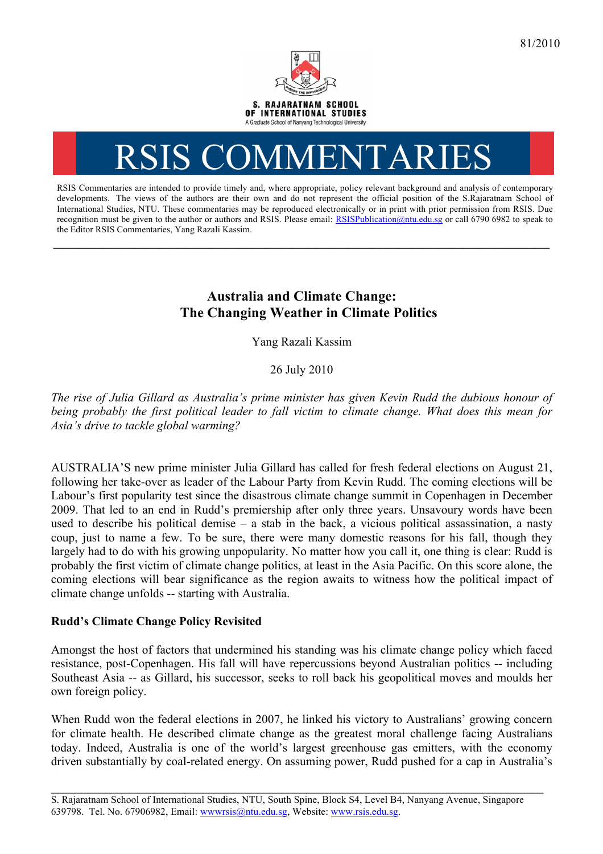

# RSIS COMMENTARI

RSIS Commentaries are intended to provide timely and, where appropriate, policy relevant background and analysis of contemporary developments. The views of the authors are their own and do not represent the official position of the S.Rajaratnam School of International Studies, NTU. These commentaries may be reproduced electronically or in print with prior permission from RSIS. Due recognition must be given to the author or authors and RSIS. Please email: RSISPublication@ntu.edu.sg or call 6790 6982 to speak to the Editor RSIS Commentaries, Yang Razali Kassim.

**\_\_\_\_\_\_\_\_\_\_\_\_\_\_\_\_\_\_\_\_\_\_\_\_\_\_\_\_\_\_\_\_\_\_\_\_\_\_\_\_\_\_\_\_\_\_\_\_\_\_\_\_\_\_\_\_\_\_\_\_\_\_\_\_\_\_\_\_\_\_\_\_\_\_\_\_\_\_\_\_\_\_\_\_\_\_\_\_\_\_\_\_\_\_\_\_\_\_**

## **Australia and Climate Change: The Changing Weather in Climate Politics**

Yang Razali Kassim

26 July 2010

*The rise of Julia Gillard as Australia's prime minister has given Kevin Rudd the dubious honour of being probably the first political leader to fall victim to climate change. What does this mean for Asia's drive to tackle global warming?* 

AUSTRALIA'S new prime minister Julia Gillard has called for fresh federal elections on August 21, following her take-over as leader of the Labour Party from Kevin Rudd. The coming elections will be Labour's first popularity test since the disastrous climate change summit in Copenhagen in December 2009. That led to an end in Rudd's premiership after only three years. Unsavoury words have been used to describe his political demise – a stab in the back, a vicious political assassination, a nasty coup, just to name a few. To be sure, there were many domestic reasons for his fall, though they largely had to do with his growing unpopularity. No matter how you call it, one thing is clear: Rudd is probably the first victim of climate change politics, at least in the Asia Pacific. On this score alone, the coming elections will bear significance as the region awaits to witness how the political impact of climate change unfolds -- starting with Australia.

### **Rudd's Climate Change Policy Revisited**

Amongst the host of factors that undermined his standing was his climate change policy which faced resistance, post-Copenhagen. His fall will have repercussions beyond Australian politics -- including Southeast Asia -- as Gillard, his successor, seeks to roll back his geopolitical moves and moulds her own foreign policy.

When Rudd won the federal elections in 2007, he linked his victory to Australians' growing concern for climate health. He described climate change as the greatest moral challenge facing Australians today. Indeed, Australia is one of the world's largest greenhouse gas emitters, with the economy driven substantially by coal-related energy. On assuming power, Rudd pushed for a cap in Australia's

\_\_\_\_\_\_\_\_\_\_\_\_\_\_\_\_\_\_\_\_\_\_\_\_\_\_\_\_\_\_\_\_\_\_\_\_\_\_\_\_\_\_\_\_\_\_\_\_\_\_\_\_\_\_\_\_\_\_\_\_\_\_\_\_\_\_\_\_\_\_\_\_\_\_\_\_\_\_\_\_\_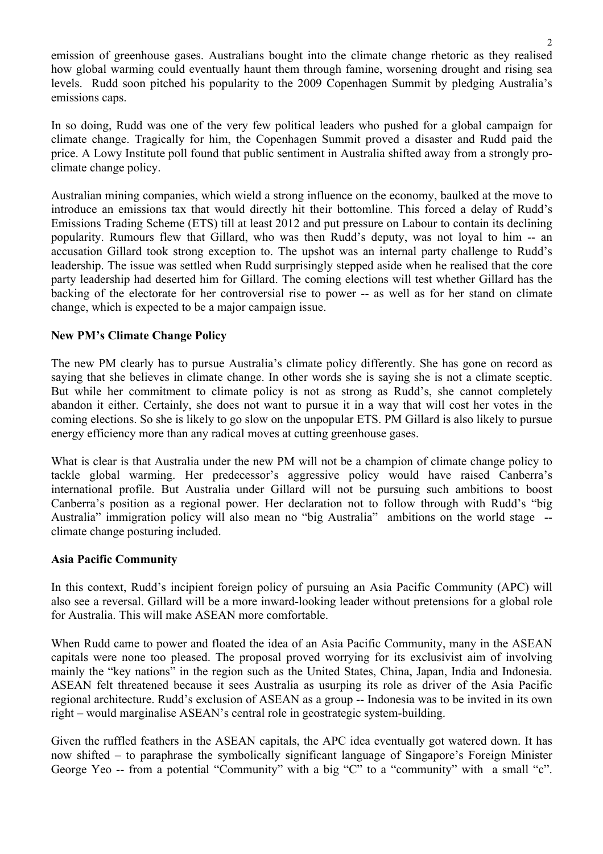emission of greenhouse gases. Australians bought into the climate change rhetoric as they realised how global warming could eventually haunt them through famine, worsening drought and rising sea levels. Rudd soon pitched his popularity to the 2009 Copenhagen Summit by pledging Australia's emissions caps.

In so doing, Rudd was one of the very few political leaders who pushed for a global campaign for climate change. Tragically for him, the Copenhagen Summit proved a disaster and Rudd paid the price. A Lowy Institute poll found that public sentiment in Australia shifted away from a strongly proclimate change policy.

Australian mining companies, which wield a strong influence on the economy, baulked at the move to introduce an emissions tax that would directly hit their bottomline. This forced a delay of Rudd's Emissions Trading Scheme (ETS) till at least 2012 and put pressure on Labour to contain its declining popularity. Rumours flew that Gillard, who was then Rudd's deputy, was not loyal to him -- an accusation Gillard took strong exception to. The upshot was an internal party challenge to Rudd's leadership. The issue was settled when Rudd surprisingly stepped aside when he realised that the core party leadership had deserted him for Gillard. The coming elections will test whether Gillard has the backing of the electorate for her controversial rise to power -- as well as for her stand on climate change, which is expected to be a major campaign issue.

#### **New PM's Climate Change Policy**

The new PM clearly has to pursue Australia's climate policy differently. She has gone on record as saying that she believes in climate change. In other words she is saying she is not a climate sceptic. But while her commitment to climate policy is not as strong as Rudd's, she cannot completely abandon it either. Certainly, she does not want to pursue it in a way that will cost her votes in the coming elections. So she is likely to go slow on the unpopular ETS. PM Gillard is also likely to pursue energy efficiency more than any radical moves at cutting greenhouse gases.

What is clear is that Australia under the new PM will not be a champion of climate change policy to tackle global warming. Her predecessor's aggressive policy would have raised Canberra's international profile. But Australia under Gillard will not be pursuing such ambitions to boost Canberra's position as a regional power. Her declaration not to follow through with Rudd's "big Australia" immigration policy will also mean no "big Australia" ambitions on the world stage - climate change posturing included.

#### **Asia Pacific Community**

In this context, Rudd's incipient foreign policy of pursuing an Asia Pacific Community (APC) will also see a reversal. Gillard will be a more inward-looking leader without pretensions for a global role for Australia. This will make ASEAN more comfortable.

When Rudd came to power and floated the idea of an Asia Pacific Community, many in the ASEAN capitals were none too pleased. The proposal proved worrying for its exclusivist aim of involving mainly the "key nations" in the region such as the United States, China, Japan, India and Indonesia. ASEAN felt threatened because it sees Australia as usurping its role as driver of the Asia Pacific regional architecture. Rudd's exclusion of ASEAN as a group -- Indonesia was to be invited in its own right – would marginalise ASEAN's central role in geostrategic system-building.

Given the ruffled feathers in the ASEAN capitals, the APC idea eventually got watered down. It has now shifted – to paraphrase the symbolically significant language of Singapore's Foreign Minister George Yeo -- from a potential "Community" with a big "C" to a "community" with a small "c".